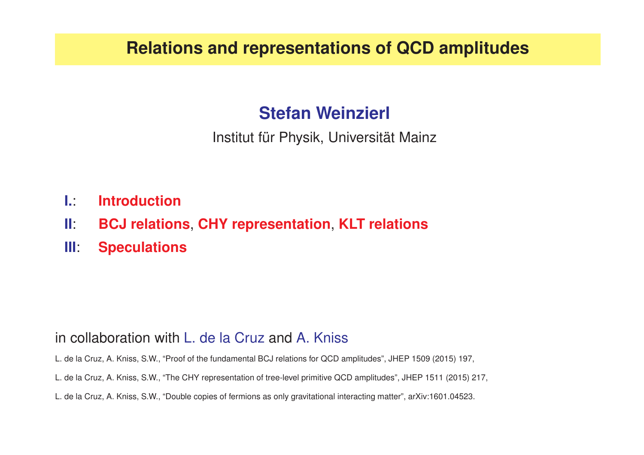#### **Relations and representations of QCD amplitudes**

#### **Stefan Weinzierl**

Institut für Physik, Universität Mainz

- **I.**: **Introduction**
- **II**: **BCJ relations**, **CHY representation**, **KLT relations**
- **III**: **Speculations**

#### in collaboration with L. de la Cruz and A. Kniss

L. de la Cruz, A. Kniss, S.W., "Proof of the fundamental BCJ relations for QCD amplitudes", JHEP 1509 (2015) 197,

- L. de la Cruz, A. Kniss, S.W., "The CHY representation of tree-level primitive QCD amplitudes", JHEP 1511 (2015) 217,
- L. de la Cruz, A. Kniss, S.W., "Double copies of fermions as only gravitational interacting matter", arXiv:1601.04523.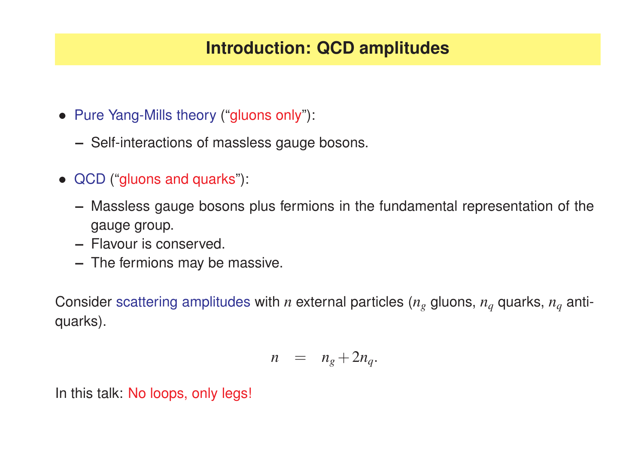### **Introduction: QCD amplitudes**

- Pure Yang-Mills theory ("gluons only"):
	- **–** Self-interactions of massless gauge bosons.
- QCD ("gluons and quarks"):
	- **–** Massless gauge bosons plus fermions in the fundamental representation of the gauge group.
	- **–** Flavour is conserved.
	- **–** The fermions may be massive.

Consider scattering amplitudes with  $n$  external particles ( $n_g$  gluons,  $n_q$  quarks,  $n_q$  antiquarks).

$$
n = n_g + 2n_q.
$$

In this talk: No loops, only legs!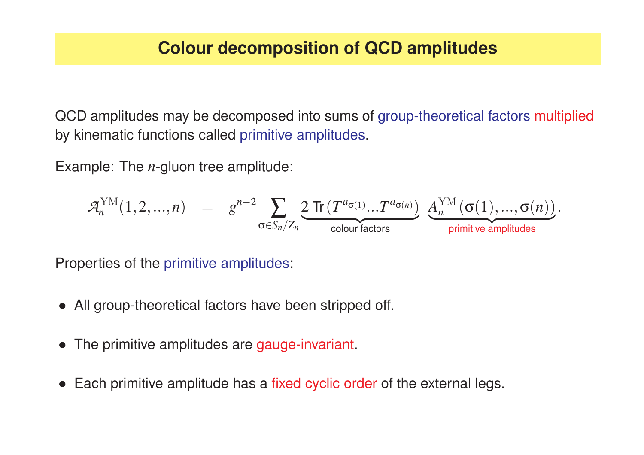QCD amplitudes may be decomposed into sums of group-theoretical factors multiplied by kinematic functions called primitive amplitudes.

Example: The *<sup>n</sup>*-gluon tree amplitude:

$$
\mathcal{A}_{n}^{\text{YM}}(1,2,...,n) \quad = \quad g^{n-2} \sum_{\sigma \in S_n/Z_n} \underbrace{2 \; \text{Tr} \left( T^{a_{\sigma(1)}} ... T^{a_{\sigma(n)}} \right)}_{\text{colour factors}} \; \underbrace{ A_{n}^{\text{YM}} \left( \sigma(1),...,\sigma(n) \right)}_{\text{primitive amplitudes}}.
$$

Properties of the primitive amplitudes:

- All group-theoretical factors have been stripped off.
- The primitive amplitudes are gauge-invariant.
- Each primitive amplitude has a fixed cyclic order of the external legs.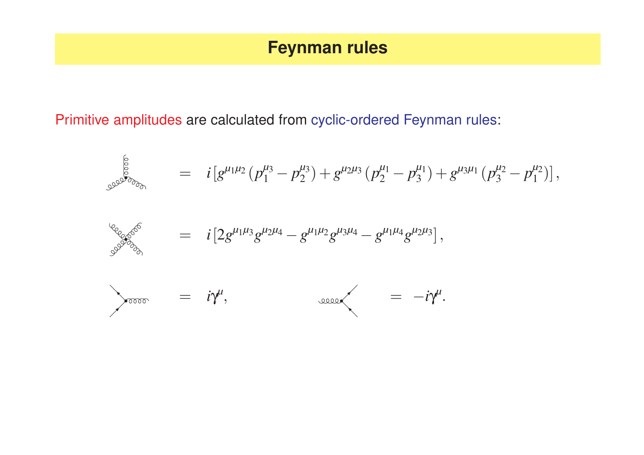#### **Feynman rules**

Primitive amplitudes are calculated from cyclic-ordered Feynman rules:

$$
\int_{\mathcal{S}} \int_{\mathcal{S}} \int_{\mathcal{S}} \int_{\mathcal{S}} \int_{\mathcal{S}} \int_{\mathcal{S}} \int_{\mathcal{S}} \int_{\mathcal{S}} \int_{\mathcal{S}} \int_{\mathcal{S}} \int_{\mathcal{S}} \int_{\mathcal{S}} \int_{\mathcal{S}} \int_{\mathcal{S}} \int_{\mathcal{S}} \int_{\mathcal{S}} \int_{\mathcal{S}} \int_{\mathcal{S}} \int_{\mathcal{S}} \int_{\mathcal{S}} \int_{\mathcal{S}} \int_{\mathcal{S}} \int_{\mathcal{S}} \int_{\mathcal{S}} \int_{\mathcal{S}} \int_{\mathcal{S}} \int_{\mathcal{S}} \int_{\mathcal{S}} \int_{\mathcal{S}} \int_{\mathcal{S}} \int_{\mathcal{S}} \int_{\mathcal{S}} \int_{\mathcal{S}} \int_{\mathcal{S}} \int_{\mathcal{S}} \int_{\mathcal{S}} \int_{\mathcal{S}} \int_{\mathcal{S}} \int_{\mathcal{S}} \int_{\mathcal{S}} \int_{\mathcal{S}} \int_{\mathcal{S}} \int_{\mathcal{S}} \int_{\mathcal{S}} \int_{\mathcal{S}} \int_{\mathcal{S}} \int_{\mathcal{S}} \int_{\mathcal{S}} \int_{\mathcal{S}} \int_{\mathcal{S}} \int_{\mathcal{S}} \int_{\mathcal{S}} \int_{\mathcal{S}} \int_{\mathcal{S}} \int_{\mathcal{S}} \int_{\mathcal{S}} \int_{\mathcal{S}} \int_{\mathcal{S}} \int_{\mathcal{S}} \int_{\mathcal{S}} \int_{\mathcal{S}} \int_{\mathcal{S}} \int_{\mathcal{S}} \int_{\mathcal{S}} \int_{\mathcal{S}} \int_{\mathcal{S}} \int_{\mathcal{S}} \int_{\mathcal{S}} \int_{\mathcal{S}} \int_{\mathcal{S}} \int_{\mathcal{S}} \int_{\mathcal{S}} \int_{\mathcal{S}} \int_{\mathcal{S}} \int_{\mathcal{S}} \int_{\mathcal{S}} \int_{\mathcal{S}} \int_{\mathcal{S}} \int_{\mathcal{S}} \int_{\mathcal{S}} \int_{\mathcal{S}} \int_{\mathcal{S}} \int_{\mathcal{S}} \int_{\mathcal{S}} \int_{\
$$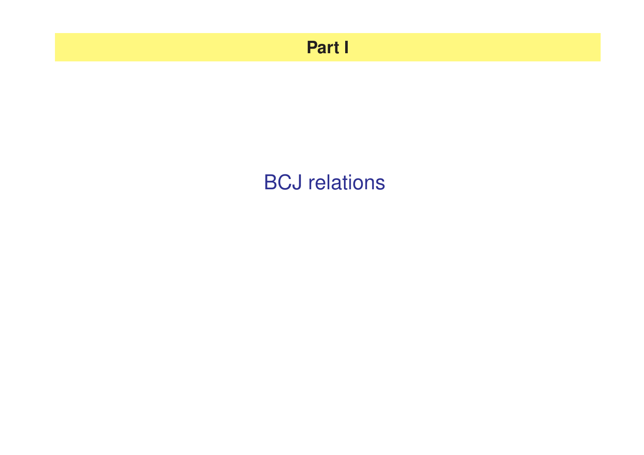### **Part I**

# BCJ relations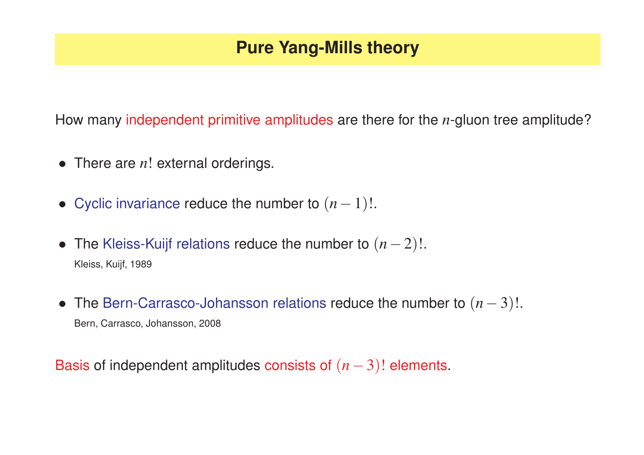### **Pure Yang-Mills theory**

How many independent primitive amplitudes are there for the *<sup>n</sup>*-gluon tree amplitude?

- There are *n*! external orderings.
- Cyclic invariance reduce the number to (*<sup>n</sup>*−<sup>1</sup>)!.
- The Kleiss-Kuijf relations reduce the number to  $(n-2)!$ . Kleiss, Kuijf, 1989
- The Bern-Carrasco-Johansson relations reduce the number to (*<sup>n</sup>*−<sup>3</sup>)!. Bern, Carrasco, Johansson, 2008

Basis of independent amplitudes consists of (*<sup>n</sup>*−<sup>3</sup>)! elements.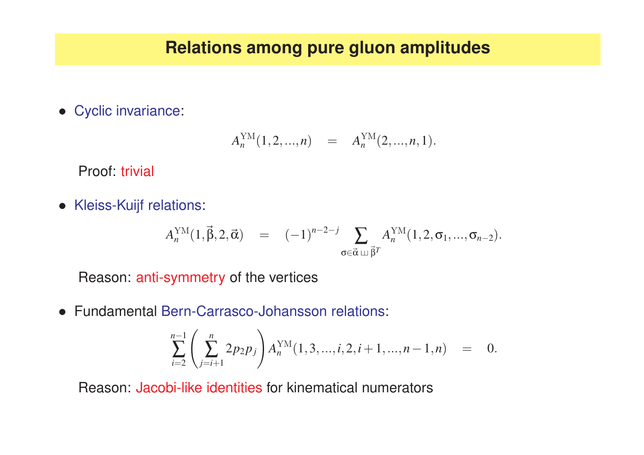#### **Relations among pure gluon amplitudes**

• Cyclic invariance:

$$
A_n^{\text{YM}}(1,2,...,n) = A_n^{\text{YM}}(2,...,n,1).
$$

Proof: trivial

• Kleiss-Kuijf relations:

$$
A_n^{\text{YM}}(1,\vec{\beta},2,\vec{\alpha}) = (-1)^{n-2-j} \sum_{\sigma \in \vec{\alpha} \sqcup \vec{\beta}^T} A_n^{\text{YM}}(1,2,\sigma_1,...,\sigma_{n-2}).
$$

Reason: anti-symmetry of the vertices

• Fundamental Bern-Carrasco-Johansson relations:

$$
\sum_{i=2}^{n-1} \left( \sum_{j=i+1}^{n} 2p_2 p_j \right) A_n^{\text{YM}}(1,3,...,i,2,i+1,...,n-1,n) = 0.
$$

Reason: Jacobi-like identities for kinematical numerators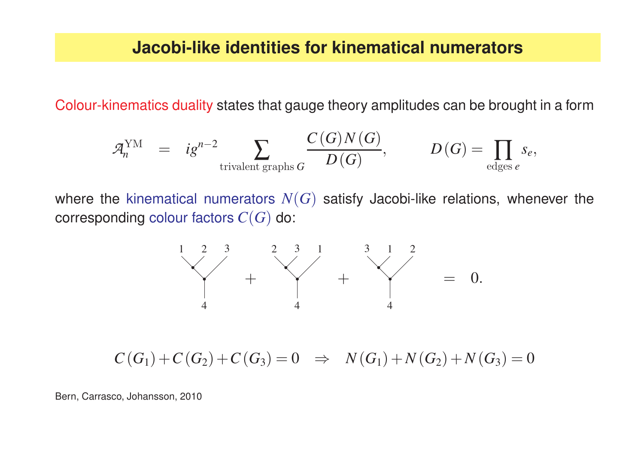#### **Jacobi-like identities for kinematical numerators**

Colour-kinematics duality states that gauge theory amplitudes can be brought in <sup>a</sup> form

$$
\mathcal{A}_n^{\text{YM}} \;\; = \;\; i g^{n-2} \sum_{\text{trivalent graphs } G} \frac{C(G) N(G)}{D(G)}, \qquad \quad D(G) = \prod_{\text{edges } e} s_e,
$$

where the kinematical numerators  $N(G)$  satisfy Jacobi-like relations, whenever the  $\operatorname{\mathsf{corresponding}}$  colour factors  $C(G)$  do:



 $C(G_1) + C(G_2) + C(G_3) = 0 \Rightarrow N(G_1) + N(G_2) + N(G_3) = 0$ 

Bern, Carrasco, Johansson, 2010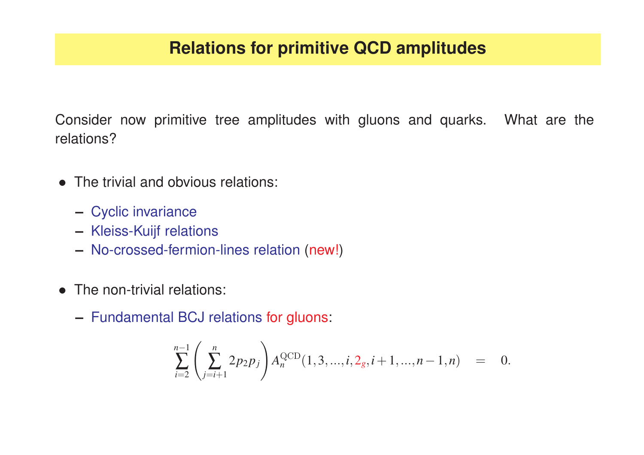Consider now primitive tree amplitudes with gluons and quarks. What are the relations?

- The trivial and obvious relations:
	- **–** Cyclic invariance
	- **–** Kleiss-Kuijf relations
	- **–** No-crossed-fermion-lines relation (new!)
- The non-trivial relations:
	- **–** Fundamental BCJ relations for gluons:

$$
\sum_{i=2}^{n-1} \left( \sum_{j=i+1}^{n} 2p_2 p_j \right) A_n^{\text{QCD}}(1,3,...,i,2_g,i+1,...,n-1,n) = 0.
$$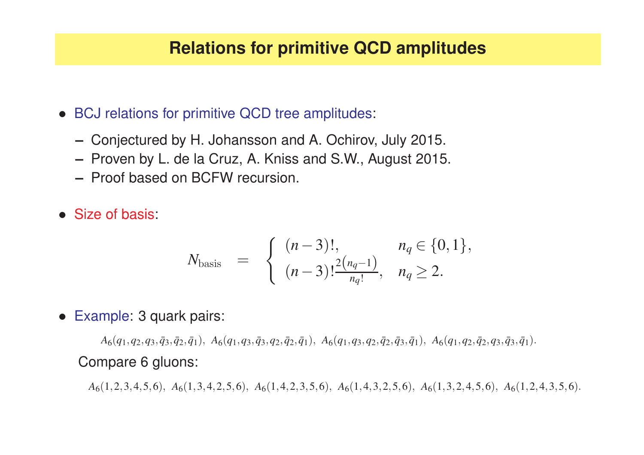#### **Relations for primitive QCD amplitudes**

- BCJ relations for primitive QCD tree amplitudes:
	- **–** Conjectured by H. Johansson and A. Ochirov, July 2015.
	- **–** Proven by L. de la Cruz, A. Kniss and S.W., August 2015.
	- **–** Proof based on BCFW recursion.
- Size of basis:

$$
N_{\text{basis}} = \begin{cases} (n-3)!, & n_q \in \{0,1\}, \\ (n-3)! \frac{2(n_q-1)}{n_q!}, & n_q \ge 2. \end{cases}
$$

• Example: 3 quark pairs:

 $A_6(q_1,q_2,q_3,\bar{q}_3,\bar{q}_2,\bar{q}_1),\; A_6(q_1,q_3,\bar{q}_3,q_2,\bar{q}_2,\bar{q}_1),\; A_6(q_1,q_3,q_2,\bar{q}_2,\bar{q}_3,\bar{q}_1),\; A_6(q_1,q_2,\bar{q}_2,q_3,\bar{q}_3,\bar{q}_1).$ Compare 6 gluons:

*A* <sup>6</sup>(<sup>1</sup>,2,3,4,5,<sup>6</sup>), *<sup>A</sup>* <sup>6</sup>(<sup>1</sup>,3,4,2,5,<sup>6</sup>), *<sup>A</sup>* <sup>6</sup>(<sup>1</sup>,4,2,3,5,<sup>6</sup>), *<sup>A</sup>* <sup>6</sup>(<sup>1</sup>,4,3,2,5,<sup>6</sup>), *<sup>A</sup>* <sup>6</sup>(<sup>1</sup>,3,2,4,5,<sup>6</sup>), *<sup>A</sup>* <sup>6</sup>(<sup>1</sup>,2,4,3,5,<sup>6</sup>).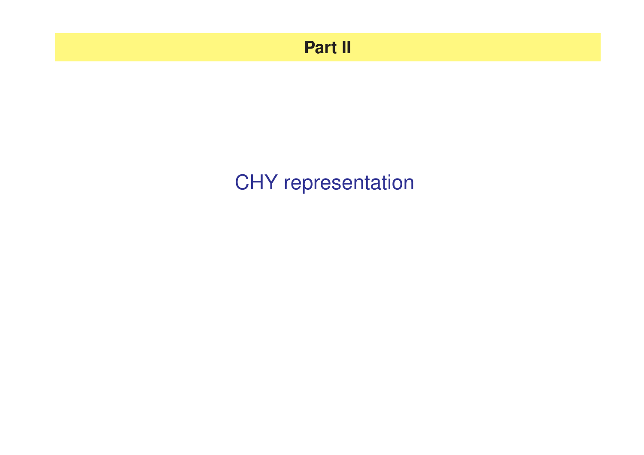### **Part II**

# CHY representation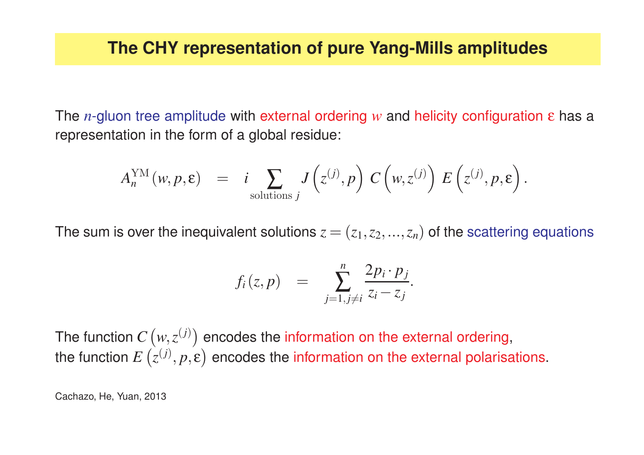The *<sup>n</sup>*-gluon tree amplitude with external ordering *<sup>w</sup>* and helicity configuration ε has a representation in the form of <sup>a</sup> global residue:

$$
A_n^{\text{YM}}(w,p,\epsilon) = i \sum_{\text{solutions }j} J(z^{(j)},p) C(w,z^{(j)}) E(z^{(j)},p,\epsilon).
$$

The sum is over the inequivalent solutions  $z=(z_1,z_2,...,z_n)$  of the scattering equations

$$
f_i(z,p) = \sum_{j=1, j\neq i}^n \frac{2p_i \cdot p_j}{z_i - z_j}.
$$

The function  $C\left (w, z^{(j)} \right )$  encodes the information on the external ordering, the function  $E(z^{(j)}, p, \varepsilon)$  encodes the information on the external polarisations.

Cachazo, He, Yuan, 2013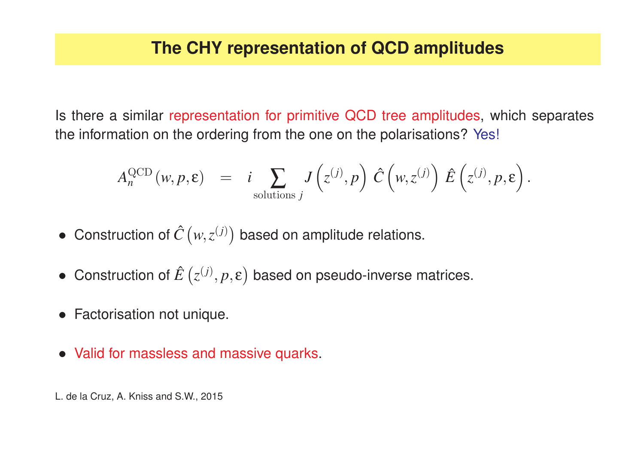Is there <sup>a</sup> similar representation for primitive QCD tree amplitudes, which separates the information on the ordering from the one on the polarisations? Yes!

$$
A_n^{\text{QCD}}(w,p,\epsilon) = i \sum_{\text{solutions } j} J(z^{(j)},p) \hat{C}(w,z^{(j)}) \hat{E}(z^{(j)},p,\epsilon).
$$

- Construction of  $\hat{C}\left (w, z^{(j)} \right )$  based on amplitude relations.
- Construction of  $\hat{E}\left(z^{(j)}, p, \varepsilon\right)$  based on pseudo-inverse matrices.
- Factorisation not unique.
- Valid for massless and massive quarks.

L. de la Cruz, A. Kniss and S.W., 2015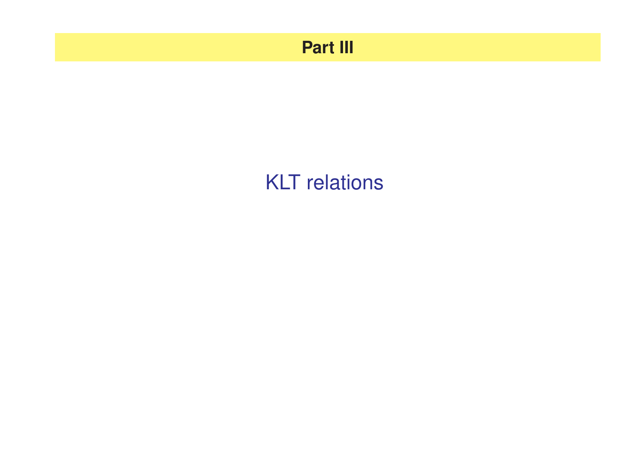### **Part III**

## KLT relations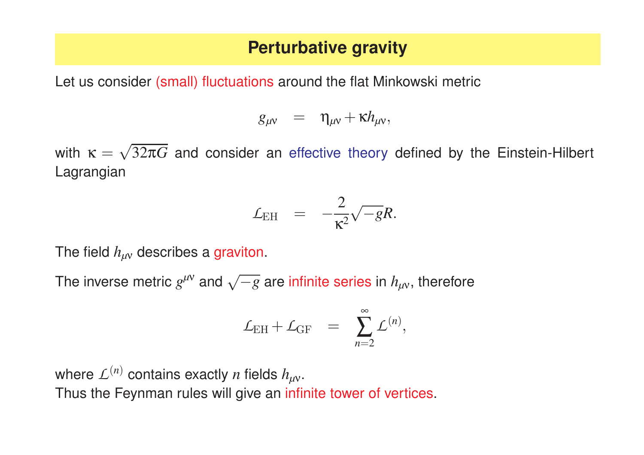#### **Perturbative gravity**

Let us consider (small) fluctuations around the flat Minkowski metric

$$
g_{\mu\nu} = \eta_{\mu\nu} + \kappa h_{\mu\nu},
$$

with  $\kappa = \sqrt{32\pi G}$  and consider an effective theory defined by the Einstein-Hilbert Lagrangian

$$
{\cal L}_{\rm EH} \quad = \quad -\frac{2}{\kappa^2}\sqrt{-g}R.
$$

The field *hµ*<sup>ν</sup> describes <sup>a</sup> graviton.

The inverse metric  $g^{\mu\nu}$  and  $\sqrt{-g}$  are infinite series in  $h_{\mu\nu}$ , therefore

$$
\mathcal{L}_{\rm EH} + \mathcal{L}_{\rm GF} = \sum_{n=2}^{\infty} \mathcal{L}^{(n)},
$$

where  $L^{(n)}$  contains exactly *n* fields  $h_{\mu\nu}$ . Thus the Feynman rules will give an infinite tower of vertices.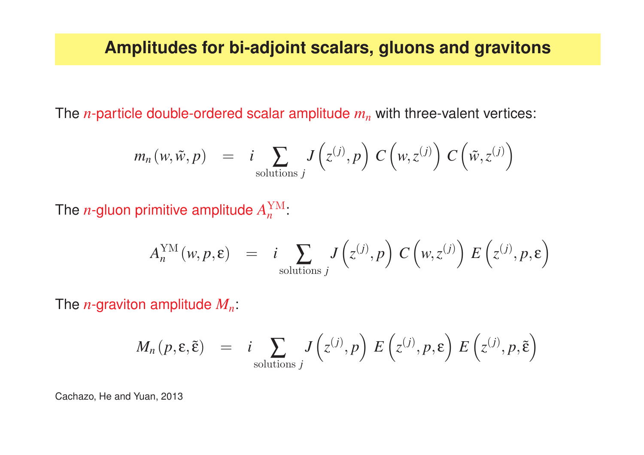The *<sup>n</sup>*-particle double-ordered scalar amplitude *m n* with three-valent vertices:

$$
m_n(w,\tilde{w},p) = i \sum_{\text{solutions }j} J(z^{(j)},p) C(w,z^{(j)}) C(\tilde{w},z^{(j)})
$$

The *n*-gluon primitive amplitude  $A_n^{\text{YM}}$ :

$$
A_n^{\text{YM}}(w, p, \varepsilon) = i \sum_{\text{solutions } j} J(z^{(j)}, p) C(w, z^{(j)}) E(z^{(j)}, p, \varepsilon)
$$

The *<sup>n</sup>*-graviton amplitude *Mn*:

$$
M_n(p, \varepsilon, \tilde{\varepsilon}) = i \sum_{\text{solutions } j} J(z^{(j)}, p) E(z^{(j)}, p, \varepsilon) E(z^{(j)}, p, \tilde{\varepsilon})
$$

Cachazo, He and Yuan, 2013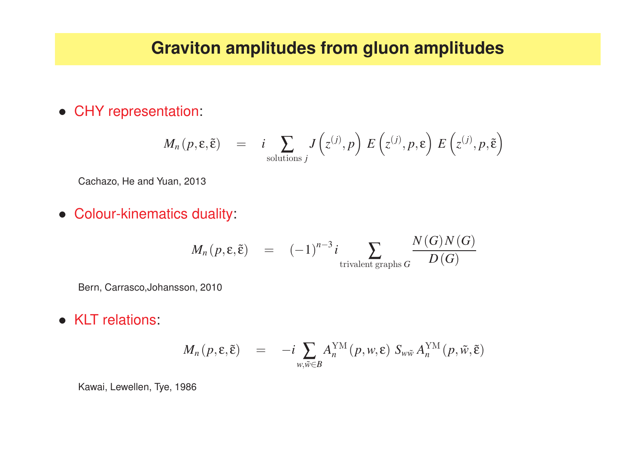#### **Graviton amplitudes from gluon amplitudes**

• CHY representation:

$$
M_n(p, \varepsilon, \tilde{\varepsilon}) = i \sum_{\text{solutions } j} J(z^{(j)}, p) E(z^{(j)}, p, \varepsilon) E(z^{(j)}, p, \tilde{\varepsilon})
$$

Cachazo, He and Yuan, 2013

• Colour-kinematics duality:

$$
M_n(p, \varepsilon, \tilde{\varepsilon}) = (-1)^{n-3} i \sum_{\text{trivalent graphs } G} \frac{N(G)N(G)}{D(G)}
$$

Bern, Carrasco,Johansson, 2010

• KLT relations:

$$
M_n(p, \varepsilon, \tilde{\varepsilon}) = -i \sum_{w, \tilde{w} \in B} A_n^{\rm YM}(p, w, \varepsilon) S_{w\tilde{w}} A_n^{\rm YM}(p, \tilde{w}, \tilde{\varepsilon})
$$

Kawai, Lewellen, Tye, 1986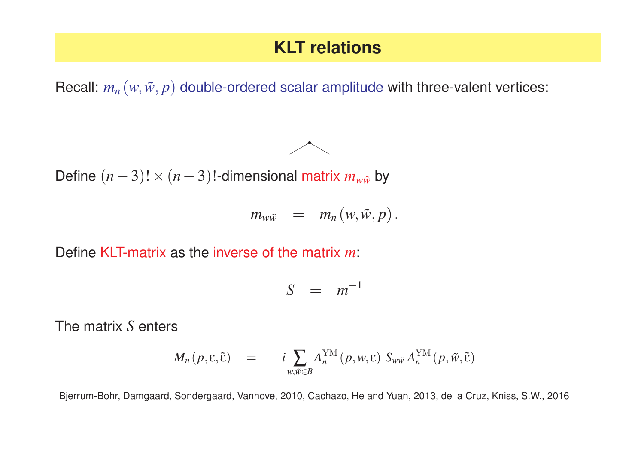#### **KLT relations**

Recall:  $m_n(w, \tilde{w}, p)$  double-ordered scalar amplitude with three-valent vertices:

Define  $(n-3)! \times (n-3)!$ -dimensional matrix  $m_{w\tilde{w}}$  by

$$
m_{w\tilde w} = m_n(w,\tilde w,p).
$$

Define KLT-matrix as the inverse of the matrix *<sup>m</sup>*:

$$
S = m^{-1}
$$

The matrix *S* enters

$$
M_n(p, \varepsilon, \tilde{\varepsilon}) = -i \sum_{w, \tilde{w} \in B} A_n^{\rm YM}(p, w, \varepsilon) S_{w\tilde{w}} A_n^{\rm YM}(p, \tilde{w}, \tilde{\varepsilon})
$$

Bjerrum-Bohr, Damgaard, Sondergaard, Vanhove, 2010, Cachazo, He and Yuan, 2013, de la Cruz, Kniss, S.W., 2016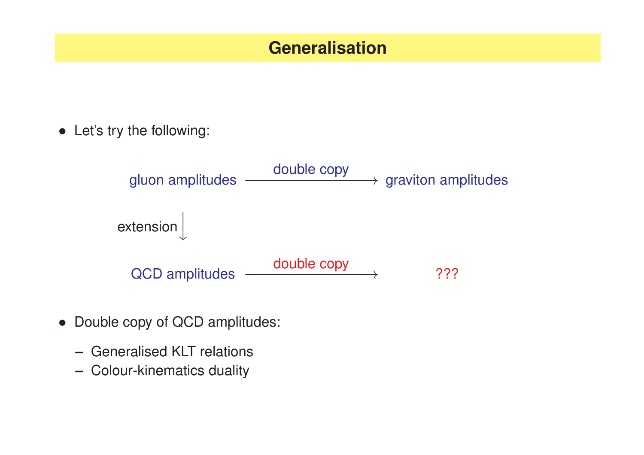#### **Generalisation**

• Let's try the following:

gluon amplitudes  $\longrightarrow$  double copy double copy graviton amplitudes extension QCD amplitudes  $\longrightarrow$  double copy 2??

- Double copy of QCD amplitudes:
	- **–** Generalised KLT relations
	- **–** Colour-kinematics duality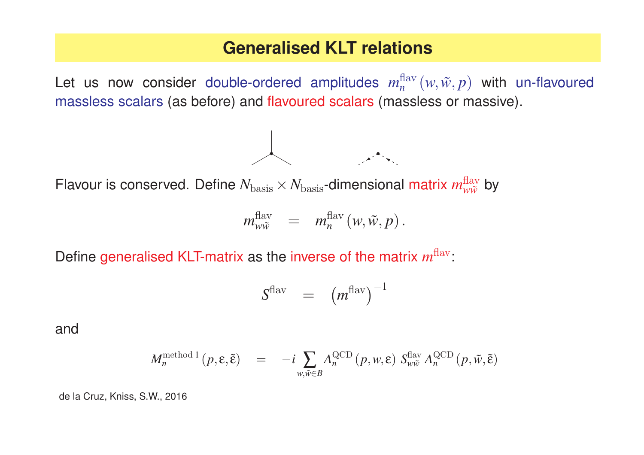#### **Generalised KLT relations**

Let us now consider double-ordered amplitudes  $m_n^{\text{flav}}(w, \tilde{w}, p)$  with un-flavoured massless scalars (as before) and flavoured scalars (massless or massive).



Flavour is conserved. Define  $N_{\rm basis} \times N_{\rm basis}$ -dimensional matrix  $m_{w \tilde w}^{\rm flux}$  by

$$
m_{w\widetilde{w}}^{\mathrm{flav}}\quad =\quad m^{\mathrm{flav}}_n\left(w,\widetilde{w},p\right).
$$

Define generalised KLT-matrix as the inverse of the matrix  $m^{\rm{flav}}$ :

$$
S^{\text{flav}} = (m^{\text{flav}})^{-1}
$$

and

$$
M_n^{\text{method 1}}(p, \varepsilon, \tilde{\varepsilon}) = -i \sum_{w, \tilde{w} \in B} A_n^{\text{QCD}}(p, w, \varepsilon) S_{w\tilde{w}}^{\text{flav}} A_n^{\text{QCD}}(p, \tilde{w}, \tilde{\varepsilon})
$$

de la Cruz, Kniss, S.W., 2016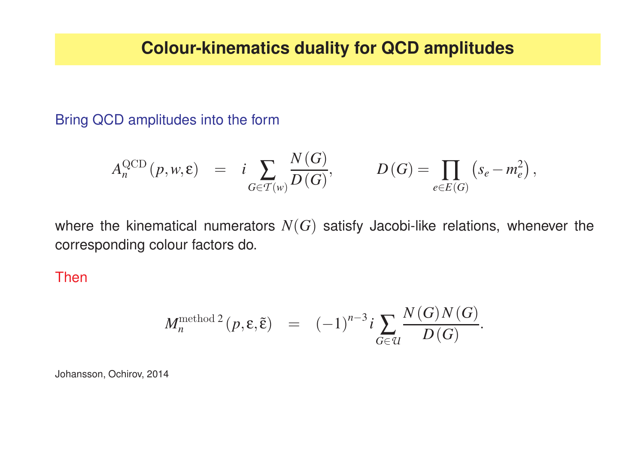Bring QCD amplitudes into the form

$$
A_n^{\text{QCD}}(p,w,\epsilon) \;\; = \;\; i \sum_{G \in \mathcal{T}(w)} \frac{N(G)}{D(G)}, \qquad \quad D(G) = \prod_{e \in E(G)} \left( s_e - m_e^2 \right),
$$

where the kinematical numerators  $N(G)$  satisfy Jacobi-like relations, whenever the corresponding colour factors do.

Then

$$
M_n^{\text{method 2}}(p, \varepsilon, \tilde{\varepsilon}) = (-1)^{n-3} i \sum_{G \in \mathcal{U}} \frac{N(G)N(G)}{D(G)}.
$$

Johansson, Ochirov, 2014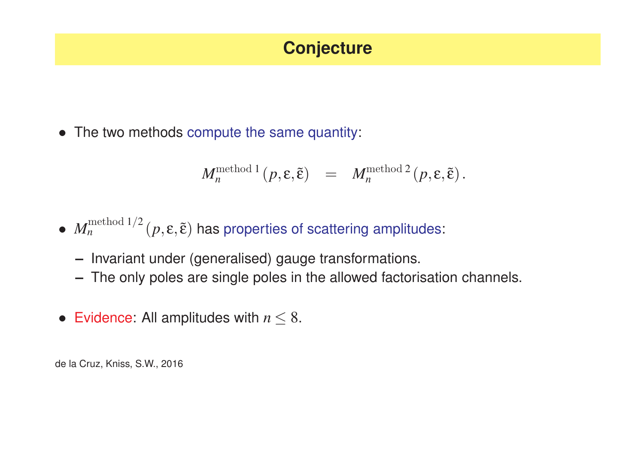### **Conjecture**

• The two methods compute the same quantity:

$$
M_n^{\mathrm{method 1}}(p, \varepsilon, \tilde{\varepsilon}) = M_n^{\mathrm{method 2}}(p, \varepsilon, \tilde{\varepsilon}).
$$

### •  $M_n^{\text{method 1/2}}(p, \varepsilon, \tilde{\varepsilon})$  has properties of scattering amplitudes:

- **–** Invariant under (generalised) gauge transformations.
- **–** The only poles are single poles in the allowed factorisation channels.
- Evidence: All amplitudes with  $n \leq 8$ .

de la Cruz, Kniss, S.W., 2016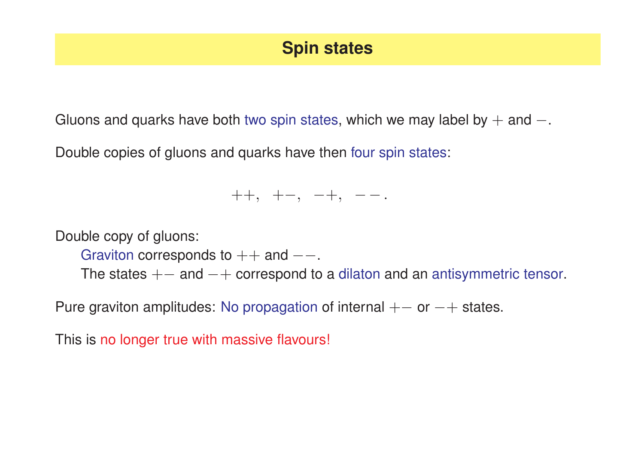### **Spin states**

Gluons and quarks have both two spin states, which we may label by  $+$  and  $-$ .

Double copies of gluons and quarks have then four spin states:

#### ++, <sup>+</sup><sup>−</sup>, <sup>−</sup>+, <sup>−</sup> <sup>−</sup>.

Double copy of gluons:

Graviton corresponds to  $++$  and  $--$ .

The states  $+-$  and  $-+$  correspond to a dilaton and an antisymmetric tensor.

Pure graviton amplitudes: No propagation of internal  $+-$  or  $-+$  states.

This is no longer true with massive flavours!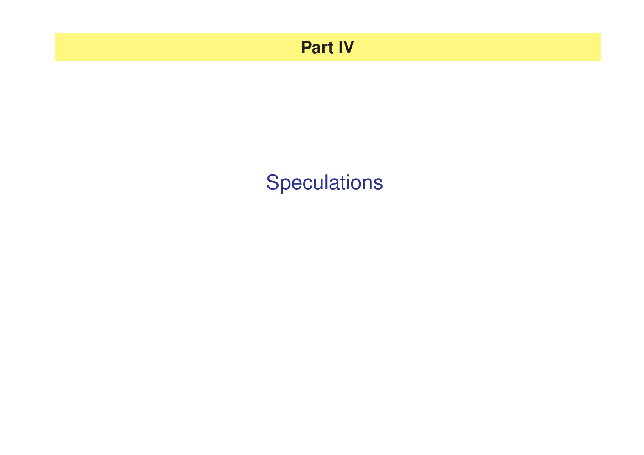### **Part IV**

# **Speculations**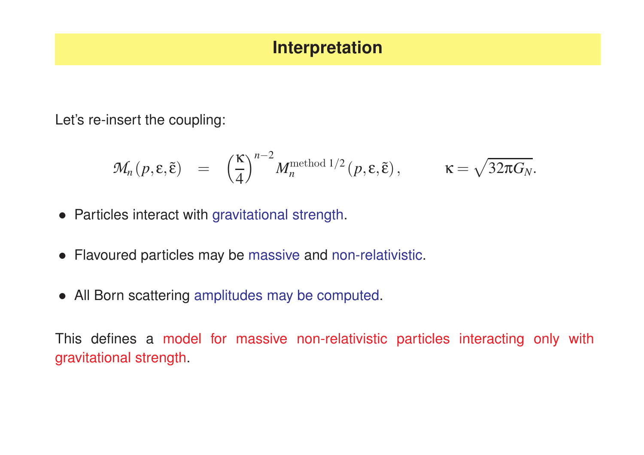#### **Interpretation**

Let's re-insert the coupling:

$$
\mathcal{M}_n(p,\varepsilon,\tilde{\varepsilon}) = \left(\frac{\kappa}{4}\right)^{n-2} M_n^{\text{method }1/2}(p,\varepsilon,\tilde{\varepsilon}), \qquad \kappa = \sqrt{32\pi G_N}.
$$

- Particles interact with gravitational strength.
- Flavoured particles may be massive and non-relativistic.
- All Born scattering amplitudes may be computed.

This defines <sup>a</sup> model for massive non-relativistic particles interacting only with gravitational strength.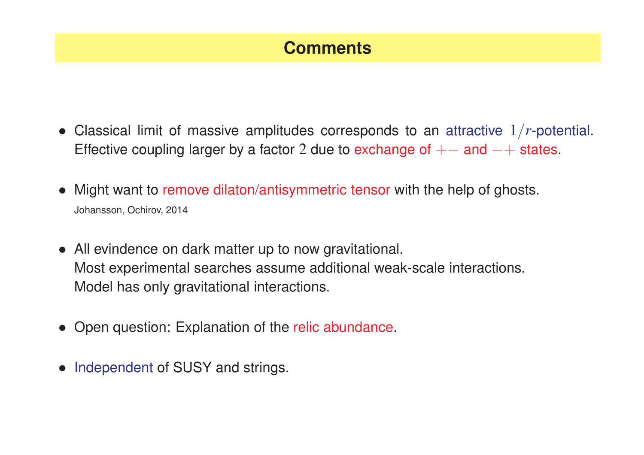#### **Comments**

- Classical limit of massive amplitudes corresponds to an attractive <sup>1</sup>/*r*-potential. Effective coupling larger by a factor 2 due to exchange of  $+-$  and  $-+$  states.
- Might want to remove dilaton/antisymmetric tensor with the help of ghosts. Johansson, Ochirov, 2014
- All evindence on dark matter up to now gravitational. Most experimental searches assume additional weak-scale interactions. Model has only gravitational interactions.
- Open question: Explanation of the relic abundance.
- Independent of SUSY and strings.